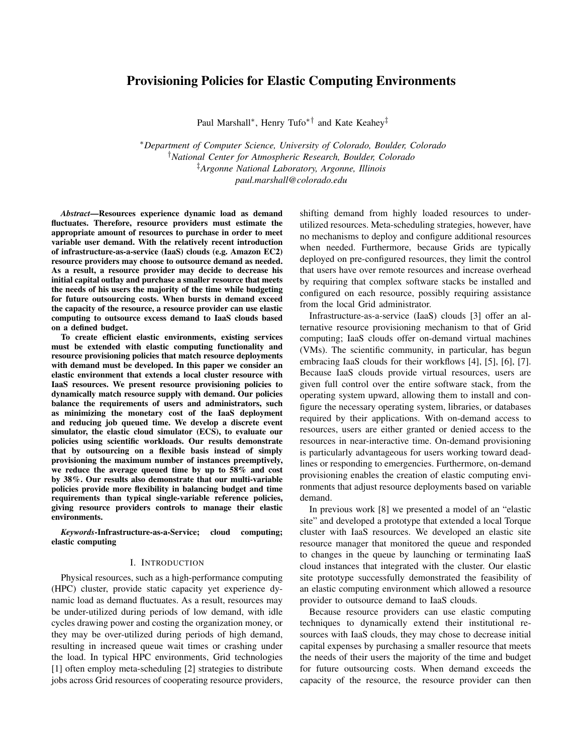# Provisioning Policies for Elastic Computing Environments

Paul Marshall<sup>∗</sup> , Henry Tufo∗† and Kate Keahey‡

<sup>∗</sup>*Department of Computer Science, University of Colorado, Boulder, Colorado* †*National Center for Atmospheric Research, Boulder, Colorado* ‡*Argonne National Laboratory, Argonne, Illinois paul.marshall@colorado.edu*

*Abstract*—Resources experience dynamic load as demand fluctuates. Therefore, resource providers must estimate the appropriate amount of resources to purchase in order to meet variable user demand. With the relatively recent introduction of infrastructure-as-a-service (IaaS) clouds (e.g. Amazon EC2) resource providers may choose to outsource demand as needed. As a result, a resource provider may decide to decrease his initial capital outlay and purchase a smaller resource that meets the needs of his users the majority of the time while budgeting for future outsourcing costs. When bursts in demand exceed the capacity of the resource, a resource provider can use elastic computing to outsource excess demand to IaaS clouds based on a defined budget.

To create efficient elastic environments, existing services must be extended with elastic computing functionality and resource provisioning policies that match resource deployments with demand must be developed. In this paper we consider an elastic environment that extends a local cluster resource with IaaS resources. We present resource provisioning policies to dynamically match resource supply with demand. Our policies balance the requirements of users and administrators, such as minimizing the monetary cost of the IaaS deployment and reducing job queued time. We develop a discrete event simulator, the elastic cloud simulator (ECS), to evaluate our policies using scientific workloads. Our results demonstrate that by outsourcing on a flexible basis instead of simply provisioning the maximum number of instances preemptively, we reduce the average queued time by up to 58% and cost by 38%. Our results also demonstrate that our multi-variable policies provide more flexibility in balancing budget and time requirements than typical single-variable reference policies, giving resource providers controls to manage their elastic environments.

*Keywords*-Infrastructure-as-a-Service; cloud computing; elastic computing

#### I. INTRODUCTION

Physical resources, such as a high-performance computing (HPC) cluster, provide static capacity yet experience dynamic load as demand fluctuates. As a result, resources may be under-utilized during periods of low demand, with idle cycles drawing power and costing the organization money, or they may be over-utilized during periods of high demand, resulting in increased queue wait times or crashing under the load. In typical HPC environments, Grid technologies [1] often employ meta-scheduling [2] strategies to distribute jobs across Grid resources of cooperating resource providers, shifting demand from highly loaded resources to underutilized resources. Meta-scheduling strategies, however, have no mechanisms to deploy and configure additional resources when needed. Furthermore, because Grids are typically deployed on pre-configured resources, they limit the control that users have over remote resources and increase overhead by requiring that complex software stacks be installed and configured on each resource, possibly requiring assistance from the local Grid administrator.

Infrastructure-as-a-service (IaaS) clouds [3] offer an alternative resource provisioning mechanism to that of Grid computing; IaaS clouds offer on-demand virtual machines (VMs). The scientific community, in particular, has begun embracing IaaS clouds for their workflows [4], [5], [6], [7]. Because IaaS clouds provide virtual resources, users are given full control over the entire software stack, from the operating system upward, allowing them to install and configure the necessary operating system, libraries, or databases required by their applications. With on-demand access to resources, users are either granted or denied access to the resources in near-interactive time. On-demand provisioning is particularly advantageous for users working toward deadlines or responding to emergencies. Furthermore, on-demand provisioning enables the creation of elastic computing environments that adjust resource deployments based on variable demand.

In previous work [8] we presented a model of an "elastic site" and developed a prototype that extended a local Torque cluster with IaaS resources. We developed an elastic site resource manager that monitored the queue and responded to changes in the queue by launching or terminating IaaS cloud instances that integrated with the cluster. Our elastic site prototype successfully demonstrated the feasibility of an elastic computing environment which allowed a resource provider to outsource demand to IaaS clouds.

Because resource providers can use elastic computing techniques to dynamically extend their institutional resources with IaaS clouds, they may chose to decrease initial capital expenses by purchasing a smaller resource that meets the needs of their users the majority of the time and budget for future outsourcing costs. When demand exceeds the capacity of the resource, the resource provider can then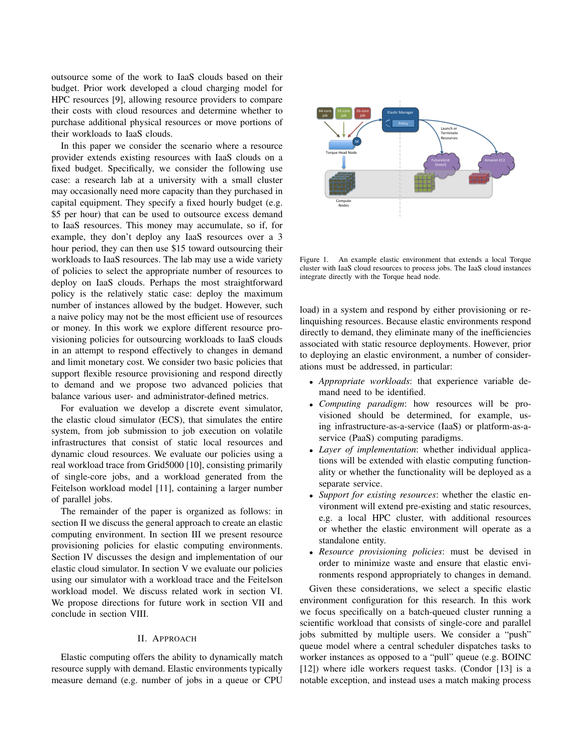outsource some of the work to IaaS clouds based on their budget. Prior work developed a cloud charging model for HPC resources [9], allowing resource providers to compare their costs with cloud resources and determine whether to purchase additional physical resources or move portions of their workloads to IaaS clouds.

In this paper we consider the scenario where a resource provider extends existing resources with IaaS clouds on a fixed budget. Specifically, we consider the following use case: a research lab at a university with a small cluster may occasionally need more capacity than they purchased in capital equipment. They specify a fixed hourly budget (e.g. \$5 per hour) that can be used to outsource excess demand to IaaS resources. This money may accumulate, so if, for example, they don't deploy any IaaS resources over a 3 hour period, they can then use \$15 toward outsourcing their workloads to IaaS resources. The lab may use a wide variety of policies to select the appropriate number of resources to deploy on IaaS clouds. Perhaps the most straightforward policy is the relatively static case: deploy the maximum number of instances allowed by the budget. However, such a naive policy may not be the most efficient use of resources or money. In this work we explore different resource provisioning policies for outsourcing workloads to IaaS clouds in an attempt to respond effectively to changes in demand and limit monetary cost. We consider two basic policies that support flexible resource provisioning and respond directly to demand and we propose two advanced policies that balance various user- and administrator-defined metrics.

For evaluation we develop a discrete event simulator, the elastic cloud simulator (ECS), that simulates the entire system, from job submission to job execution on volatile infrastructures that consist of static local resources and dynamic cloud resources. We evaluate our policies using a real workload trace from Grid5000 [10], consisting primarily of single-core jobs, and a workload generated from the Feitelson workload model [11], containing a larger number of parallel jobs.

The remainder of the paper is organized as follows: in section II we discuss the general approach to create an elastic computing environment. In section III we present resource provisioning policies for elastic computing environments. Section IV discusses the design and implementation of our elastic cloud simulator. In section V we evaluate our policies using our simulator with a workload trace and the Feitelson workload model. We discuss related work in section VI. We propose directions for future work in section VII and conclude in section VIII.

### II. APPROACH

Elastic computing offers the ability to dynamically match resource supply with demand. Elastic environments typically measure demand (e.g. number of jobs in a queue or CPU



Figure 1. An example elastic environment that extends a local Torque cluster with IaaS cloud resources to process jobs. The IaaS cloud instances integrate directly with the Torque head node.

load) in a system and respond by either provisioning or relinquishing resources. Because elastic environments respond directly to demand, they eliminate many of the inefficiencies associated with static resource deployments. However, prior to deploying an elastic environment, a number of considerations must be addressed, in particular:

- *Appropriate workloads*: that experience variable demand need to be identified.
- *Computing paradigm*: how resources will be provisioned should be determined, for example, using infrastructure-as-a-service (IaaS) or platform-as-aservice (PaaS) computing paradigms.
- *Layer of implementation*: whether individual applications will be extended with elastic computing functionality or whether the functionality will be deployed as a separate service.
- *Support for existing resources*: whether the elastic environment will extend pre-existing and static resources, e.g. a local HPC cluster, with additional resources or whether the elastic environment will operate as a standalone entity.
- *Resource provisioning policies*: must be devised in order to minimize waste and ensure that elastic environments respond appropriately to changes in demand.

Given these considerations, we select a specific elastic environment configuration for this research. In this work we focus specifically on a batch-queued cluster running a scientific workload that consists of single-core and parallel jobs submitted by multiple users. We consider a "push" queue model where a central scheduler dispatches tasks to worker instances as opposed to a "pull" queue (e.g. BOINC [12]) where idle workers request tasks. (Condor [13] is a notable exception, and instead uses a match making process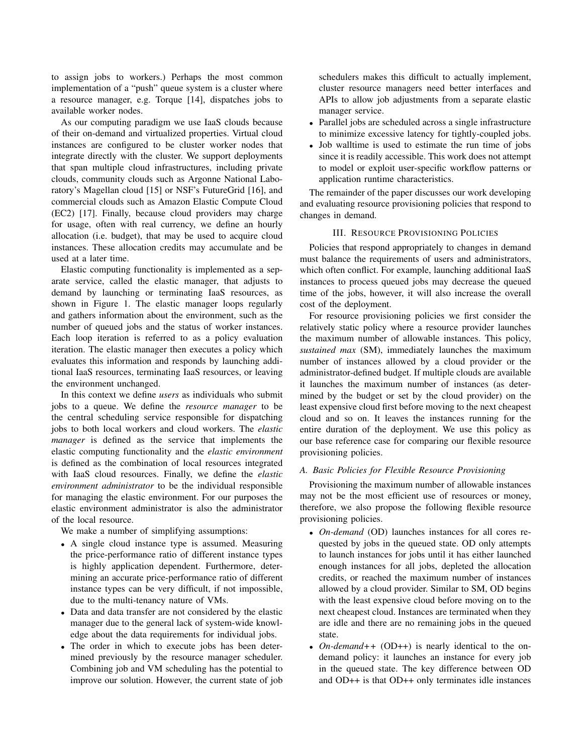to assign jobs to workers.) Perhaps the most common implementation of a "push" queue system is a cluster where a resource manager, e.g. Torque [14], dispatches jobs to available worker nodes.

As our computing paradigm we use IaaS clouds because of their on-demand and virtualized properties. Virtual cloud instances are configured to be cluster worker nodes that integrate directly with the cluster. We support deployments that span multiple cloud infrastructures, including private clouds, community clouds such as Argonne National Laboratory's Magellan cloud [15] or NSF's FutureGrid [16], and commercial clouds such as Amazon Elastic Compute Cloud (EC2) [17]. Finally, because cloud providers may charge for usage, often with real currency, we define an hourly allocation (i.e. budget), that may be used to acquire cloud instances. These allocation credits may accumulate and be used at a later time.

Elastic computing functionality is implemented as a separate service, called the elastic manager, that adjusts to demand by launching or terminating IaaS resources, as shown in Figure 1. The elastic manager loops regularly and gathers information about the environment, such as the number of queued jobs and the status of worker instances. Each loop iteration is referred to as a policy evaluation iteration. The elastic manager then executes a policy which evaluates this information and responds by launching additional IaaS resources, terminating IaaS resources, or leaving the environment unchanged.

In this context we define *users* as individuals who submit jobs to a queue. We define the *resource manager* to be the central scheduling service responsible for dispatching jobs to both local workers and cloud workers. The *elastic manager* is defined as the service that implements the elastic computing functionality and the *elastic environment* is defined as the combination of local resources integrated with IaaS cloud resources. Finally, we define the *elastic environment administrator* to be the individual responsible for managing the elastic environment. For our purposes the elastic environment administrator is also the administrator of the local resource.

We make a number of simplifying assumptions:

- A single cloud instance type is assumed. Measuring the price-performance ratio of different instance types is highly application dependent. Furthermore, determining an accurate price-performance ratio of different instance types can be very difficult, if not impossible, due to the multi-tenancy nature of VMs.
- Data and data transfer are not considered by the elastic manager due to the general lack of system-wide knowledge about the data requirements for individual jobs.
- The order in which to execute jobs has been determined previously by the resource manager scheduler. Combining job and VM scheduling has the potential to improve our solution. However, the current state of job

schedulers makes this difficult to actually implement, cluster resource managers need better interfaces and APIs to allow job adjustments from a separate elastic manager service.

- Parallel jobs are scheduled across a single infrastructure to minimize excessive latency for tightly-coupled jobs.
- Job walltime is used to estimate the run time of jobs since it is readily accessible. This work does not attempt to model or exploit user-specific workflow patterns or application runtime characteristics.

The remainder of the paper discusses our work developing and evaluating resource provisioning policies that respond to changes in demand.

### III. RESOURCE PROVISIONING POLICIES

Policies that respond appropriately to changes in demand must balance the requirements of users and administrators, which often conflict. For example, launching additional IaaS instances to process queued jobs may decrease the queued time of the jobs, however, it will also increase the overall cost of the deployment.

For resource provisioning policies we first consider the relatively static policy where a resource provider launches the maximum number of allowable instances. This policy, *sustained max* (SM), immediately launches the maximum number of instances allowed by a cloud provider or the administrator-defined budget. If multiple clouds are available it launches the maximum number of instances (as determined by the budget or set by the cloud provider) on the least expensive cloud first before moving to the next cheapest cloud and so on. It leaves the instances running for the entire duration of the deployment. We use this policy as our base reference case for comparing our flexible resource provisioning policies.

### *A. Basic Policies for Flexible Resource Provisioning*

Provisioning the maximum number of allowable instances may not be the most efficient use of resources or money, therefore, we also propose the following flexible resource provisioning policies.

- *On-demand* (OD) launches instances for all cores requested by jobs in the queued state. OD only attempts to launch instances for jobs until it has either launched enough instances for all jobs, depleted the allocation credits, or reached the maximum number of instances allowed by a cloud provider. Similar to SM, OD begins with the least expensive cloud before moving on to the next cheapest cloud. Instances are terminated when they are idle and there are no remaining jobs in the queued state.
- *On-demand++* (OD++) is nearly identical to the ondemand policy: it launches an instance for every job in the queued state. The key difference between OD and OD++ is that OD++ only terminates idle instances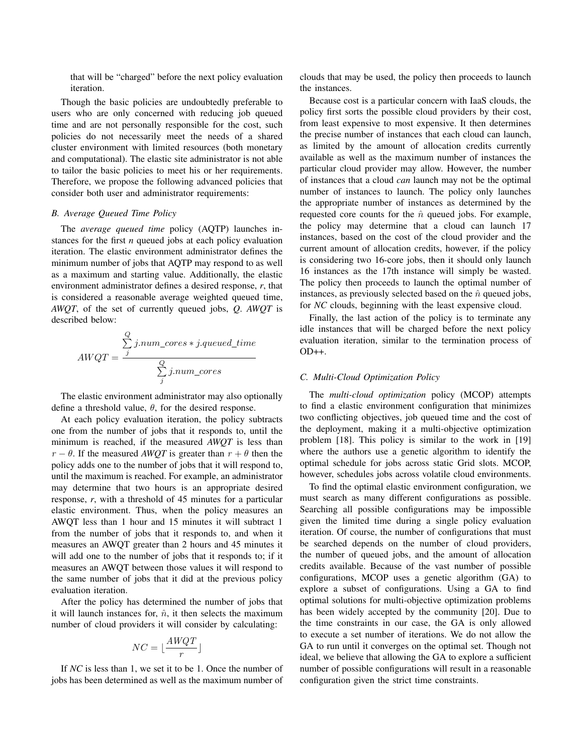that will be "charged" before the next policy evaluation iteration.

Though the basic policies are undoubtedly preferable to users who are only concerned with reducing job queued time and are not personally responsible for the cost, such policies do not necessarily meet the needs of a shared cluster environment with limited resources (both monetary and computational). The elastic site administrator is not able to tailor the basic policies to meet his or her requirements. Therefore, we propose the following advanced policies that consider both user and administrator requirements:

### *B. Average Queued Time Policy*

The *average queued time* policy (AQTP) launches instances for the first *n* queued jobs at each policy evaluation iteration. The elastic environment administrator defines the minimum number of jobs that AQTP may respond to as well as a maximum and starting value. Additionally, the elastic environment administrator defines a desired response, *r*, that is considered a reasonable average weighted queued time, *AWQT*, of the set of currently queued jobs, *Q*. *AWQT* is described below:

$$
AWQT = \frac{\sum_{j}^{Q} j.num\_cores * j.queued\_time}{\sum_{j}^{Q} j.num\_cores}
$$

The elastic environment administrator may also optionally define a threshold value,  $\theta$ , for the desired response.

At each policy evaluation iteration, the policy subtracts one from the number of jobs that it responds to, until the minimum is reached, if the measured *AWQT* is less than  $r - \theta$ . If the measured *AWQT* is greater than  $r + \theta$  then the policy adds one to the number of jobs that it will respond to, until the maximum is reached. For example, an administrator may determine that two hours is an appropriate desired response, *r*, with a threshold of 45 minutes for a particular elastic environment. Thus, when the policy measures an AWQT less than 1 hour and 15 minutes it will subtract 1 from the number of jobs that it responds to, and when it measures an AWQT greater than 2 hours and 45 minutes it will add one to the number of jobs that it responds to; if it measures an AWQT between those values it will respond to the same number of jobs that it did at the previous policy evaluation iteration.

After the policy has determined the number of jobs that it will launch instances for,  $\hat{n}$ , it then selects the maximum number of cloud providers it will consider by calculating:

$$
NC = \lfloor \frac{AWQT}{r} \rfloor
$$

If *NC* is less than 1, we set it to be 1. Once the number of jobs has been determined as well as the maximum number of clouds that may be used, the policy then proceeds to launch the instances.

Because cost is a particular concern with IaaS clouds, the policy first sorts the possible cloud providers by their cost, from least expensive to most expensive. It then determines the precise number of instances that each cloud can launch, as limited by the amount of allocation credits currently available as well as the maximum number of instances the particular cloud provider may allow. However, the number of instances that a cloud *can* launch may not be the optimal number of instances to launch. The policy only launches the appropriate number of instances as determined by the requested core counts for the  $\hat{n}$  queued jobs. For example, the policy may determine that a cloud can launch 17 instances, based on the cost of the cloud provider and the current amount of allocation credits, however, if the policy is considering two 16-core jobs, then it should only launch 16 instances as the 17th instance will simply be wasted. The policy then proceeds to launch the optimal number of instances, as previously selected based on the  $\hat{n}$  queued jobs, for *NC* clouds, beginning with the least expensive cloud.

Finally, the last action of the policy is to terminate any idle instances that will be charged before the next policy evaluation iteration, similar to the termination process of  $OD++$ .

### *C. Multi-Cloud Optimization Policy*

The *multi-cloud optimization* policy (MCOP) attempts to find a elastic environment configuration that minimizes two conflicting objectives, job queued time and the cost of the deployment, making it a multi-objective optimization problem [18]. This policy is similar to the work in [19] where the authors use a genetic algorithm to identify the optimal schedule for jobs across static Grid slots. MCOP, however, schedules jobs across volatile cloud environments.

To find the optimal elastic environment configuration, we must search as many different configurations as possible. Searching all possible configurations may be impossible given the limited time during a single policy evaluation iteration. Of course, the number of configurations that must be searched depends on the number of cloud providers, the number of queued jobs, and the amount of allocation credits available. Because of the vast number of possible configurations, MCOP uses a genetic algorithm (GA) to explore a subset of configurations. Using a GA to find optimal solutions for multi-objective optimization problems has been widely accepted by the community [20]. Due to the time constraints in our case, the GA is only allowed to execute a set number of iterations. We do not allow the GA to run until it converges on the optimal set. Though not ideal, we believe that allowing the GA to explore a sufficient number of possible configurations will result in a reasonable configuration given the strict time constraints.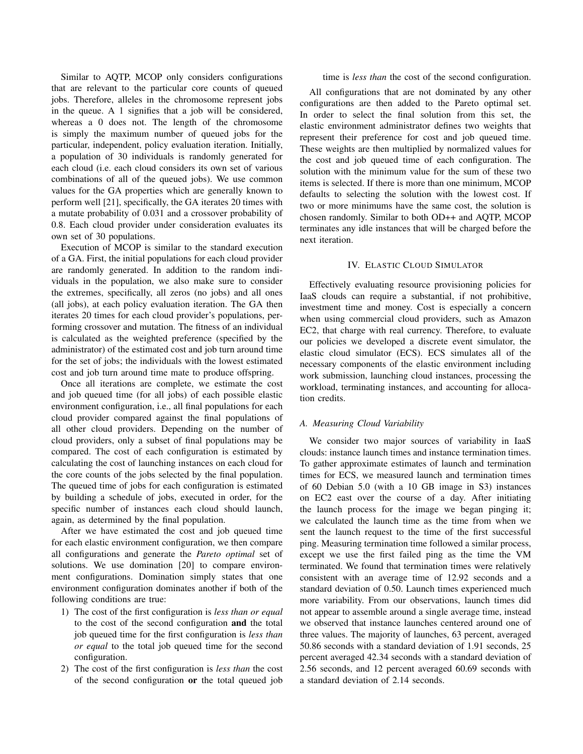Similar to AQTP, MCOP only considers configurations that are relevant to the particular core counts of queued jobs. Therefore, alleles in the chromosome represent jobs in the queue. A 1 signifies that a job will be considered, whereas a 0 does not. The length of the chromosome is simply the maximum number of queued jobs for the particular, independent, policy evaluation iteration. Initially, a population of 30 individuals is randomly generated for each cloud (i.e. each cloud considers its own set of various combinations of all of the queued jobs). We use common values for the GA properties which are generally known to perform well [21], specifically, the GA iterates 20 times with a mutate probability of 0.031 and a crossover probability of 0.8. Each cloud provider under consideration evaluates its own set of 30 populations.

Execution of MCOP is similar to the standard execution of a GA. First, the initial populations for each cloud provider are randomly generated. In addition to the random individuals in the population, we also make sure to consider the extremes, specifically, all zeros (no jobs) and all ones (all jobs), at each policy evaluation iteration. The GA then iterates 20 times for each cloud provider's populations, performing crossover and mutation. The fitness of an individual is calculated as the weighted preference (specified by the administrator) of the estimated cost and job turn around time for the set of jobs; the individuals with the lowest estimated cost and job turn around time mate to produce offspring.

Once all iterations are complete, we estimate the cost and job queued time (for all jobs) of each possible elastic environment configuration, i.e., all final populations for each cloud provider compared against the final populations of all other cloud providers. Depending on the number of cloud providers, only a subset of final populations may be compared. The cost of each configuration is estimated by calculating the cost of launching instances on each cloud for the core counts of the jobs selected by the final population. The queued time of jobs for each configuration is estimated by building a schedule of jobs, executed in order, for the specific number of instances each cloud should launch, again, as determined by the final population.

After we have estimated the cost and job queued time for each elastic environment configuration, we then compare all configurations and generate the *Pareto optimal* set of solutions. We use domination [20] to compare environment configurations. Domination simply states that one environment configuration dominates another if both of the following conditions are true:

- 1) The cost of the first configuration is *less than or equal* to the cost of the second configuration and the total job queued time for the first configuration is *less than or equal* to the total job queued time for the second configuration.
- 2) The cost of the first configuration is *less than* the cost of the second configuration or the total queued job

### time is *less than* the cost of the second configuration.

All configurations that are not dominated by any other configurations are then added to the Pareto optimal set. In order to select the final solution from this set, the elastic environment administrator defines two weights that represent their preference for cost and job queued time. These weights are then multiplied by normalized values for the cost and job queued time of each configuration. The solution with the minimum value for the sum of these two items is selected. If there is more than one minimum, MCOP defaults to selecting the solution with the lowest cost. If two or more minimums have the same cost, the solution is chosen randomly. Similar to both OD++ and AQTP, MCOP terminates any idle instances that will be charged before the next iteration.

### IV. ELASTIC CLOUD SIMULATOR

Effectively evaluating resource provisioning policies for IaaS clouds can require a substantial, if not prohibitive, investment time and money. Cost is especially a concern when using commercial cloud providers, such as Amazon EC2, that charge with real currency. Therefore, to evaluate our policies we developed a discrete event simulator, the elastic cloud simulator (ECS). ECS simulates all of the necessary components of the elastic environment including work submission, launching cloud instances, processing the workload, terminating instances, and accounting for allocation credits.

#### *A. Measuring Cloud Variability*

We consider two major sources of variability in IaaS clouds: instance launch times and instance termination times. To gather approximate estimates of launch and termination times for ECS, we measured launch and termination times of 60 Debian 5.0 (with a 10 GB image in S3) instances on EC2 east over the course of a day. After initiating the launch process for the image we began pinging it; we calculated the launch time as the time from when we sent the launch request to the time of the first successful ping. Measuring termination time followed a similar process, except we use the first failed ping as the time the VM terminated. We found that termination times were relatively consistent with an average time of 12.92 seconds and a standard deviation of 0.50. Launch times experienced much more variability. From our observations, launch times did not appear to assemble around a single average time, instead we observed that instance launches centered around one of three values. The majority of launches, 63 percent, averaged 50.86 seconds with a standard deviation of 1.91 seconds, 25 percent averaged 42.34 seconds with a standard deviation of 2.56 seconds, and 12 percent averaged 60.69 seconds with a standard deviation of 2.14 seconds.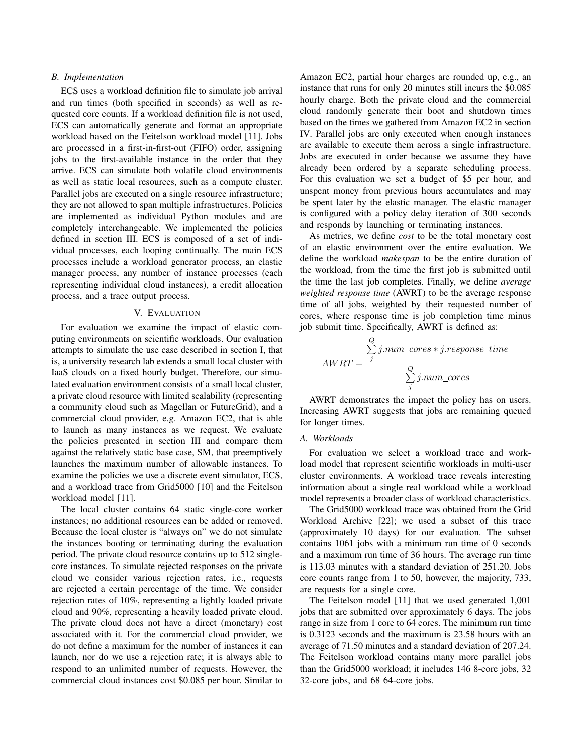## *B. Implementation*

ECS uses a workload definition file to simulate job arrival and run times (both specified in seconds) as well as requested core counts. If a workload definition file is not used, ECS can automatically generate and format an appropriate workload based on the Feitelson workload model [11]. Jobs are processed in a first-in-first-out (FIFO) order, assigning jobs to the first-available instance in the order that they arrive. ECS can simulate both volatile cloud environments as well as static local resources, such as a compute cluster. Parallel jobs are executed on a single resource infrastructure; they are not allowed to span multiple infrastructures. Policies are implemented as individual Python modules and are completely interchangeable. We implemented the policies defined in section III. ECS is composed of a set of individual processes, each looping continually. The main ECS processes include a workload generator process, an elastic manager process, any number of instance processes (each representing individual cloud instances), a credit allocation process, and a trace output process.

#### V. EVALUATION

For evaluation we examine the impact of elastic computing environments on scientific workloads. Our evaluation attempts to simulate the use case described in section I, that is, a university research lab extends a small local cluster with IaaS clouds on a fixed hourly budget. Therefore, our simulated evaluation environment consists of a small local cluster, a private cloud resource with limited scalability (representing a community cloud such as Magellan or FutureGrid), and a commercial cloud provider, e.g. Amazon EC2, that is able to launch as many instances as we request. We evaluate the policies presented in section III and compare them against the relatively static base case, SM, that preemptively launches the maximum number of allowable instances. To examine the policies we use a discrete event simulator, ECS, and a workload trace from Grid5000 [10] and the Feitelson workload model [11].

The local cluster contains 64 static single-core worker instances; no additional resources can be added or removed. Because the local cluster is "always on" we do not simulate the instances booting or terminating during the evaluation period. The private cloud resource contains up to 512 singlecore instances. To simulate rejected responses on the private cloud we consider various rejection rates, i.e., requests are rejected a certain percentage of the time. We consider rejection rates of 10%, representing a lightly loaded private cloud and 90%, representing a heavily loaded private cloud. The private cloud does not have a direct (monetary) cost associated with it. For the commercial cloud provider, we do not define a maximum for the number of instances it can launch, nor do we use a rejection rate; it is always able to respond to an unlimited number of requests. However, the commercial cloud instances cost \$0.085 per hour. Similar to Amazon EC2, partial hour charges are rounded up, e.g., an instance that runs for only 20 minutes still incurs the \$0.085 hourly charge. Both the private cloud and the commercial cloud randomly generate their boot and shutdown times based on the times we gathered from Amazon EC2 in section IV. Parallel jobs are only executed when enough instances are available to execute them across a single infrastructure. Jobs are executed in order because we assume they have already been ordered by a separate scheduling process. For this evaluation we set a budget of \$5 per hour, and unspent money from previous hours accumulates and may be spent later by the elastic manager. The elastic manager is configured with a policy delay iteration of 300 seconds and responds by launching or terminating instances.

As metrics, we define *cost* to be the total monetary cost of an elastic environment over the entire evaluation. We define the workload *makespan* to be the entire duration of the workload, from the time the first job is submitted until the time the last job completes. Finally, we define *average weighted response time* (AWRT) to be the average response time of all jobs, weighted by their requested number of cores, where response time is job completion time minus job submit time. Specifically, AWRT is defined as:

$$
AWRT = \frac{\sum_{j}^{Q} j.num\_cores * j. response\_time}{\sum_{j}^{Q} j.num\_cores}
$$

AWRT demonstrates the impact the policy has on users. Increasing AWRT suggests that jobs are remaining queued for longer times.

## *A. Workloads*

For evaluation we select a workload trace and workload model that represent scientific workloads in multi-user cluster environments. A workload trace reveals interesting information about a single real workload while a workload model represents a broader class of workload characteristics.

The Grid5000 workload trace was obtained from the Grid Workload Archive [22]; we used a subset of this trace (approximately 10 days) for our evaluation. The subset contains 1061 jobs with a minimum run time of 0 seconds and a maximum run time of 36 hours. The average run time is 113.03 minutes with a standard deviation of 251.20. Jobs core counts range from 1 to 50, however, the majority, 733, are requests for a single core.

The Feitelson model [11] that we used generated 1,001 jobs that are submitted over approximately 6 days. The jobs range in size from 1 core to 64 cores. The minimum run time is 0.3123 seconds and the maximum is 23.58 hours with an average of 71.50 minutes and a standard deviation of 207.24. The Feitelson workload contains many more parallel jobs than the Grid5000 workload; it includes 146 8-core jobs, 32 32-core jobs, and 68 64-core jobs.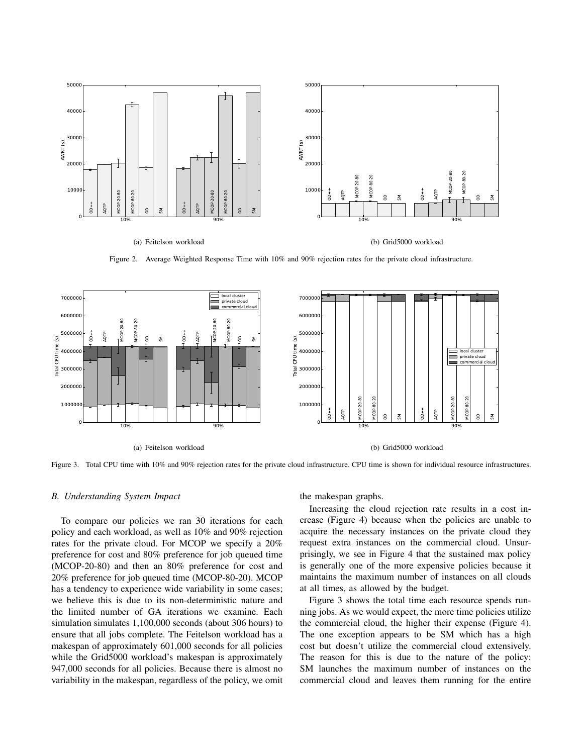

Figure 2. Average Weighted Response Time with 10% and 90% rejection rates for the private cloud infrastructure.



Figure 3. Total CPU time with 10% and 90% rejection rates for the private cloud infrastructure. CPU time is shown for individual resource infrastructures.

#### *B. Understanding System Impact*

To compare our policies we ran 30 iterations for each policy and each workload, as well as 10% and 90% rejection rates for the private cloud. For MCOP we specify a 20% preference for cost and 80% preference for job queued time (MCOP-20-80) and then an 80% preference for cost and 20% preference for job queued time (MCOP-80-20). MCOP has a tendency to experience wide variability in some cases; we believe this is due to its non-deterministic nature and the limited number of GA iterations we examine. Each simulation simulates 1,100,000 seconds (about 306 hours) to ensure that all jobs complete. The Feitelson workload has a makespan of approximately 601,000 seconds for all policies while the Grid<sub>5000</sub> workload's makespan is approximately 947,000 seconds for all policies. Because there is almost no variability in the makespan, regardless of the policy, we omit the makespan graphs.

Increasing the cloud rejection rate results in a cost increase (Figure 4) because when the policies are unable to acquire the necessary instances on the private cloud they request extra instances on the commercial cloud. Unsurprisingly, we see in Figure 4 that the sustained max policy is generally one of the more expensive policies because it maintains the maximum number of instances on all clouds at all times, as allowed by the budget.

Figure 3 shows the total time each resource spends running jobs. As we would expect, the more time policies utilize the commercial cloud, the higher their expense (Figure 4). The one exception appears to be SM which has a high cost but doesn't utilize the commercial cloud extensively. The reason for this is due to the nature of the policy: SM launches the maximum number of instances on the commercial cloud and leaves them running for the entire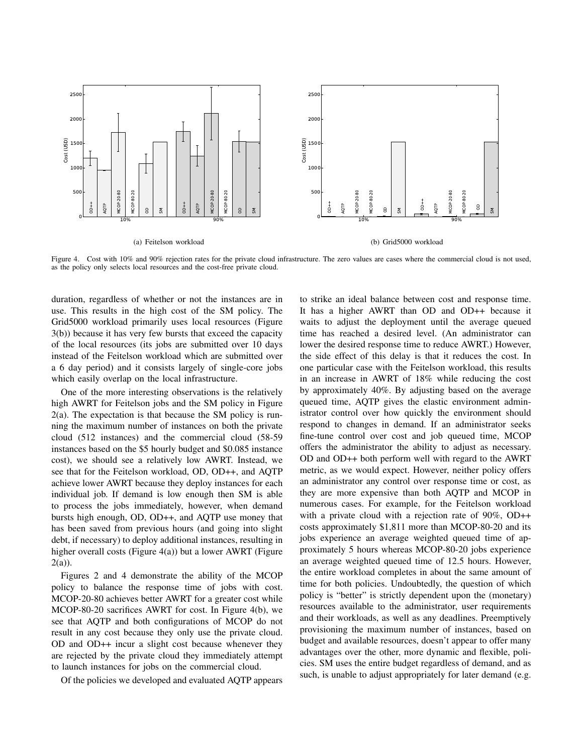

Figure 4. Cost with 10% and 90% rejection rates for the private cloud infrastructure. The zero values are cases where the commercial cloud is not used, as the policy only selects local resources and the cost-free private cloud.

duration, regardless of whether or not the instances are in use. This results in the high cost of the SM policy. The Grid5000 workload primarily uses local resources (Figure 3(b)) because it has very few bursts that exceed the capacity of the local resources (its jobs are submitted over 10 days instead of the Feitelson workload which are submitted over a 6 day period) and it consists largely of single-core jobs which easily overlap on the local infrastructure.

One of the more interesting observations is the relatively high AWRT for Feitelson jobs and the SM policy in Figure  $2(a)$ . The expectation is that because the SM policy is running the maximum number of instances on both the private cloud (512 instances) and the commercial cloud (58-59 instances based on the \$5 hourly budget and \$0.085 instance cost), we should see a relatively low AWRT. Instead, we see that for the Feitelson workload, OD, OD++, and AQTP achieve lower AWRT because they deploy instances for each individual job. If demand is low enough then SM is able to process the jobs immediately, however, when demand bursts high enough, OD, OD++, and AQTP use money that has been saved from previous hours (and going into slight debt, if necessary) to deploy additional instances, resulting in higher overall costs (Figure 4(a)) but a lower AWRT (Figure 2(a)).

Figures 2 and 4 demonstrate the ability of the MCOP policy to balance the response time of jobs with cost. MCOP-20-80 achieves better AWRT for a greater cost while MCOP-80-20 sacrifices AWRT for cost. In Figure 4(b), we see that AQTP and both configurations of MCOP do not result in any cost because they only use the private cloud. OD and OD++ incur a slight cost because whenever they are rejected by the private cloud they immediately attempt to launch instances for jobs on the commercial cloud.

Of the policies we developed and evaluated AQTP appears

to strike an ideal balance between cost and response time. It has a higher AWRT than OD and OD++ because it waits to adjust the deployment until the average queued time has reached a desired level. (An administrator can lower the desired response time to reduce AWRT.) However, the side effect of this delay is that it reduces the cost. In one particular case with the Feitelson workload, this results in an increase in AWRT of 18% while reducing the cost by approximately 40%. By adjusting based on the average queued time, AQTP gives the elastic environment administrator control over how quickly the environment should respond to changes in demand. If an administrator seeks fine-tune control over cost and job queued time, MCOP offers the administrator the ability to adjust as necessary. OD and OD++ both perform well with regard to the AWRT metric, as we would expect. However, neither policy offers an administrator any control over response time or cost, as they are more expensive than both AQTP and MCOP in numerous cases. For example, for the Feitelson workload with a private cloud with a rejection rate of 90%, OD++ costs approximately \$1,811 more than MCOP-80-20 and its jobs experience an average weighted queued time of approximately 5 hours whereas MCOP-80-20 jobs experience an average weighted queued time of 12.5 hours. However, the entire workload completes in about the same amount of time for both policies. Undoubtedly, the question of which policy is "better" is strictly dependent upon the (monetary) resources available to the administrator, user requirements and their workloads, as well as any deadlines. Preemptively provisioning the maximum number of instances, based on budget and available resources, doesn't appear to offer many advantages over the other, more dynamic and flexible, policies. SM uses the entire budget regardless of demand, and as such, is unable to adjust appropriately for later demand (e.g.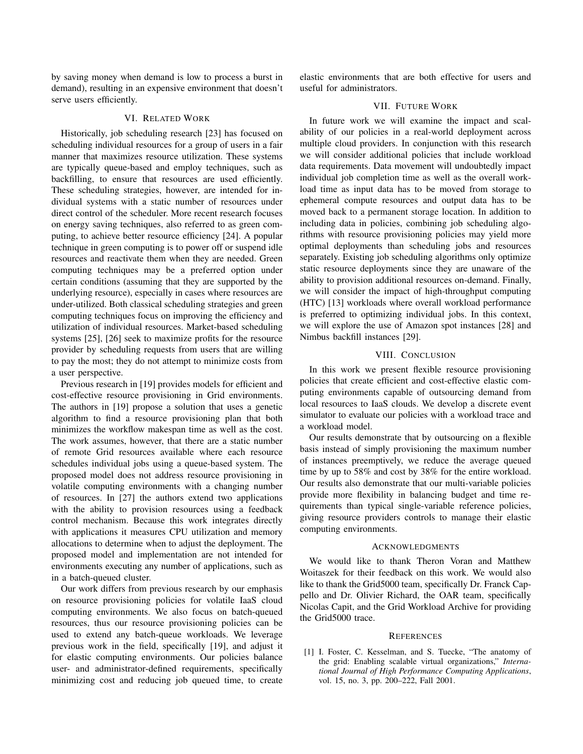by saving money when demand is low to process a burst in demand), resulting in an expensive environment that doesn't serve users efficiently.

### VI. RELATED WORK

Historically, job scheduling research [23] has focused on scheduling individual resources for a group of users in a fair manner that maximizes resource utilization. These systems are typically queue-based and employ techniques, such as backfilling, to ensure that resources are used efficiently. These scheduling strategies, however, are intended for individual systems with a static number of resources under direct control of the scheduler. More recent research focuses on energy saving techniques, also referred to as green computing, to achieve better resource efficiency [24]. A popular technique in green computing is to power off or suspend idle resources and reactivate them when they are needed. Green computing techniques may be a preferred option under certain conditions (assuming that they are supported by the underlying resource), especially in cases where resources are under-utilized. Both classical scheduling strategies and green computing techniques focus on improving the efficiency and utilization of individual resources. Market-based scheduling systems [25], [26] seek to maximize profits for the resource provider by scheduling requests from users that are willing to pay the most; they do not attempt to minimize costs from a user perspective.

Previous research in [19] provides models for efficient and cost-effective resource provisioning in Grid environments. The authors in [19] propose a solution that uses a genetic algorithm to find a resource provisioning plan that both minimizes the workflow makespan time as well as the cost. The work assumes, however, that there are a static number of remote Grid resources available where each resource schedules individual jobs using a queue-based system. The proposed model does not address resource provisioning in volatile computing environments with a changing number of resources. In [27] the authors extend two applications with the ability to provision resources using a feedback control mechanism. Because this work integrates directly with applications it measures CPU utilization and memory allocations to determine when to adjust the deployment. The proposed model and implementation are not intended for environments executing any number of applications, such as in a batch-queued cluster.

Our work differs from previous research by our emphasis on resource provisioning policies for volatile IaaS cloud computing environments. We also focus on batch-queued resources, thus our resource provisioning policies can be used to extend any batch-queue workloads. We leverage previous work in the field, specifically [19], and adjust it for elastic computing environments. Our policies balance user- and administrator-defined requirements, specifically minimizing cost and reducing job queued time, to create elastic environments that are both effective for users and useful for administrators.

### VII. FUTURE WORK

In future work we will examine the impact and scalability of our policies in a real-world deployment across multiple cloud providers. In conjunction with this research we will consider additional policies that include workload data requirements. Data movement will undoubtedly impact individual job completion time as well as the overall workload time as input data has to be moved from storage to ephemeral compute resources and output data has to be moved back to a permanent storage location. In addition to including data in policies, combining job scheduling algorithms with resource provisioning policies may yield more optimal deployments than scheduling jobs and resources separately. Existing job scheduling algorithms only optimize static resource deployments since they are unaware of the ability to provision additional resources on-demand. Finally, we will consider the impact of high-throughput computing (HTC) [13] workloads where overall workload performance is preferred to optimizing individual jobs. In this context, we will explore the use of Amazon spot instances [28] and Nimbus backfill instances [29].

### VIII. CONCLUSION

In this work we present flexible resource provisioning policies that create efficient and cost-effective elastic computing environments capable of outsourcing demand from local resources to IaaS clouds. We develop a discrete event simulator to evaluate our policies with a workload trace and a workload model.

Our results demonstrate that by outsourcing on a flexible basis instead of simply provisioning the maximum number of instances preemptively, we reduce the average queued time by up to 58% and cost by 38% for the entire workload. Our results also demonstrate that our multi-variable policies provide more flexibility in balancing budget and time requirements than typical single-variable reference policies, giving resource providers controls to manage their elastic computing environments.

#### ACKNOWLEDGMENTS

We would like to thank Theron Voran and Matthew Woitaszek for their feedback on this work. We would also like to thank the Grid5000 team, specifically Dr. Franck Cappello and Dr. Olivier Richard, the OAR team, specifically Nicolas Capit, and the Grid Workload Archive for providing the Grid5000 trace.

#### **REFERENCES**

[1] I. Foster, C. Kesselman, and S. Tuecke, "The anatomy of the grid: Enabling scalable virtual organizations," *International Journal of High Performance Computing Applications*, vol. 15, no. 3, pp. 200–222, Fall 2001.